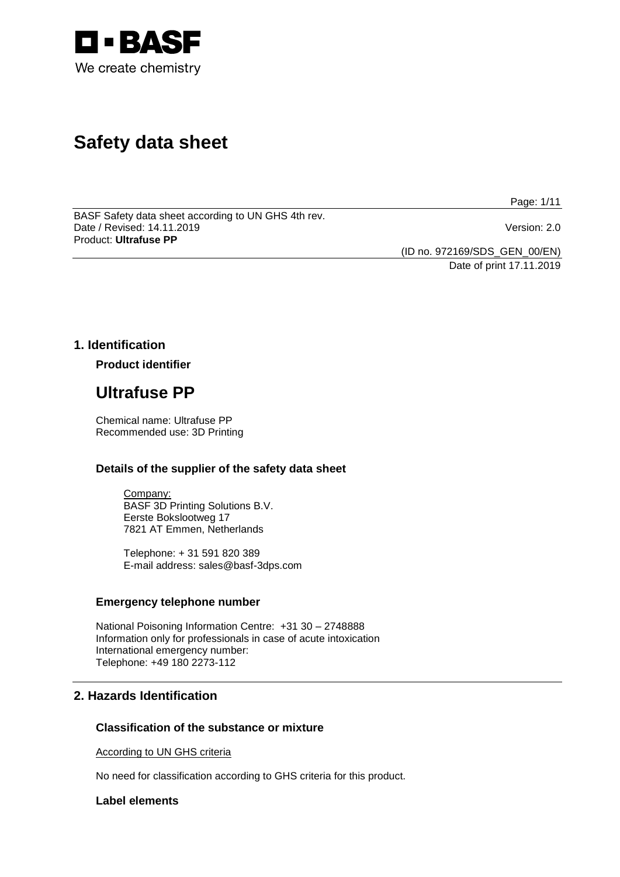

# **Safety data sheet**

Page: 1/11

BASF Safety data sheet according to UN GHS 4th rev. Date / Revised: 14.11.2019 Version: 2.0 Product: **Ultrafuse PP**

(ID no. 972169/SDS\_GEN\_00/EN)

Date of print 17.11.2019

# **1. Identification**

**Product identifier**

# **Ultrafuse PP**

Chemical name: Ultrafuse PP Recommended use: 3D Printing

# **Details of the supplier of the safety data sheet**

Company: BASF 3D Printing Solutions B.V. Eerste Bokslootweg 17 7821 AT Emmen, Netherlands

Telephone: + 31 591 820 389 E-mail address: sales@basf-3dps.com

# **Emergency telephone number**

National Poisoning Information Centre: +31 30 – 2748888 Information only for professionals in case of acute intoxication International emergency number: Telephone: +49 180 2273-112

# **2. Hazards Identification**

# **Classification of the substance or mixture**

According to UN GHS criteria

No need for classification according to GHS criteria for this product.

# **Label elements**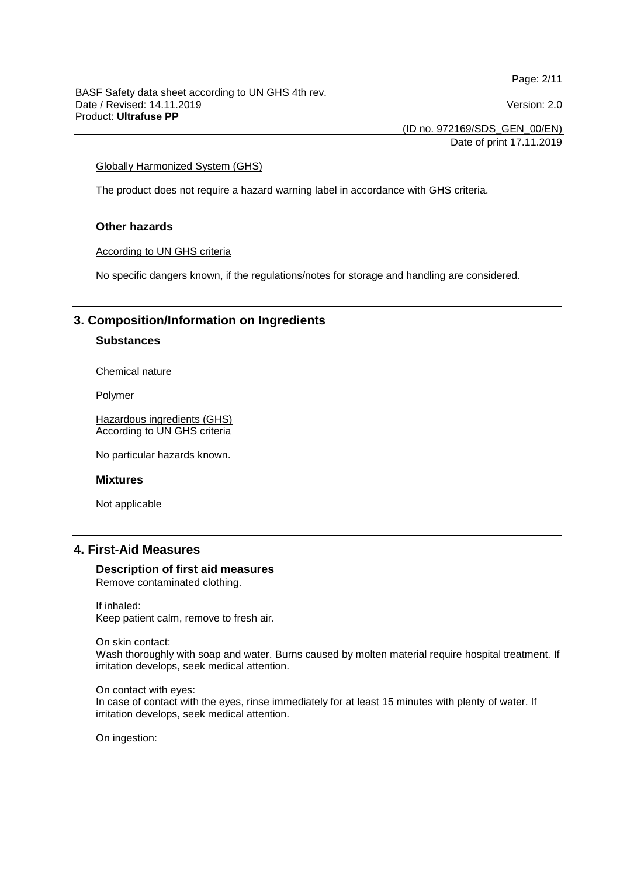Page: 2/11

BASF Safety data sheet according to UN GHS 4th rev. Date / Revised: 14.11.2019 Version: 2.0 Product: **Ultrafuse PP**

(ID no. 972169/SDS\_GEN\_00/EN)

Date of print 17.11.2019

## Globally Harmonized System (GHS)

The product does not require a hazard warning label in accordance with GHS criteria.

# **Other hazards**

## According to UN GHS criteria

No specific dangers known, if the regulations/notes for storage and handling are considered.

# **3. Composition/Information on Ingredients**

# **Substances**

## Chemical nature

Polymer

Hazardous ingredients (GHS) According to UN GHS criteria

No particular hazards known.

#### **Mixtures**

Not applicable

# **4. First-Aid Measures**

#### **Description of first aid measures** Remove contaminated clothing.

If inhaled: Keep patient calm, remove to fresh air.

On skin contact:

Wash thoroughly with soap and water. Burns caused by molten material require hospital treatment. If irritation develops, seek medical attention.

On contact with eyes: In case of contact with the eyes, rinse immediately for at least 15 minutes with plenty of water. If irritation develops, seek medical attention.

On ingestion: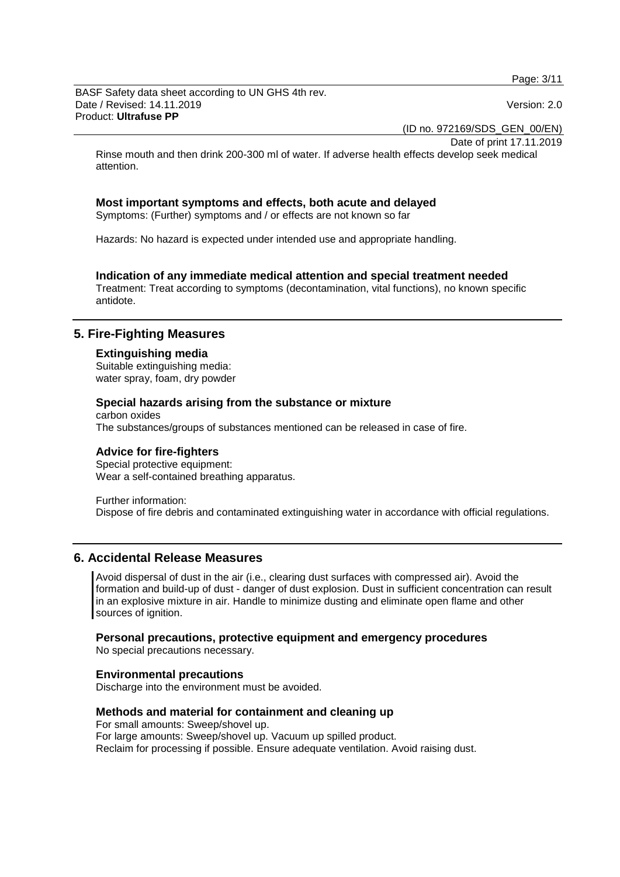Page: 3/11

BASF Safety data sheet according to UN GHS 4th rev. Date / Revised: 14.11.2019 Version: 2.0 Product: **Ultrafuse PP**

(ID no. 972169/SDS\_GEN\_00/EN)

Date of print 17.11.2019

Rinse mouth and then drink 200-300 ml of water. If adverse health effects develop seek medical attention.

# **Most important symptoms and effects, both acute and delayed**

Symptoms: (Further) symptoms and / or effects are not known so far

Hazards: No hazard is expected under intended use and appropriate handling.

# **Indication of any immediate medical attention and special treatment needed**

Treatment: Treat according to symptoms (decontamination, vital functions), no known specific antidote.

# **5. Fire-Fighting Measures**

#### **Extinguishing media**

Suitable extinguishing media: water spray, foam, dry powder

## **Special hazards arising from the substance or mixture**

carbon oxides The substances/groups of substances mentioned can be released in case of fire.

#### **Advice for fire-fighters**

Special protective equipment: Wear a self-contained breathing apparatus.

Further information: Dispose of fire debris and contaminated extinguishing water in accordance with official regulations.

# **6. Accidental Release Measures**

Avoid dispersal of dust in the air (i.e., clearing dust surfaces with compressed air). Avoid the formation and build-up of dust - danger of dust explosion. Dust in sufficient concentration can result in an explosive mixture in air. Handle to minimize dusting and eliminate open flame and other sources of ignition.

#### **Personal precautions, protective equipment and emergency procedures**

No special precautions necessary.

#### **Environmental precautions**

Discharge into the environment must be avoided.

## **Methods and material for containment and cleaning up**

For small amounts: Sweep/shovel up. For large amounts: Sweep/shovel up. Vacuum up spilled product. Reclaim for processing if possible. Ensure adequate ventilation. Avoid raising dust.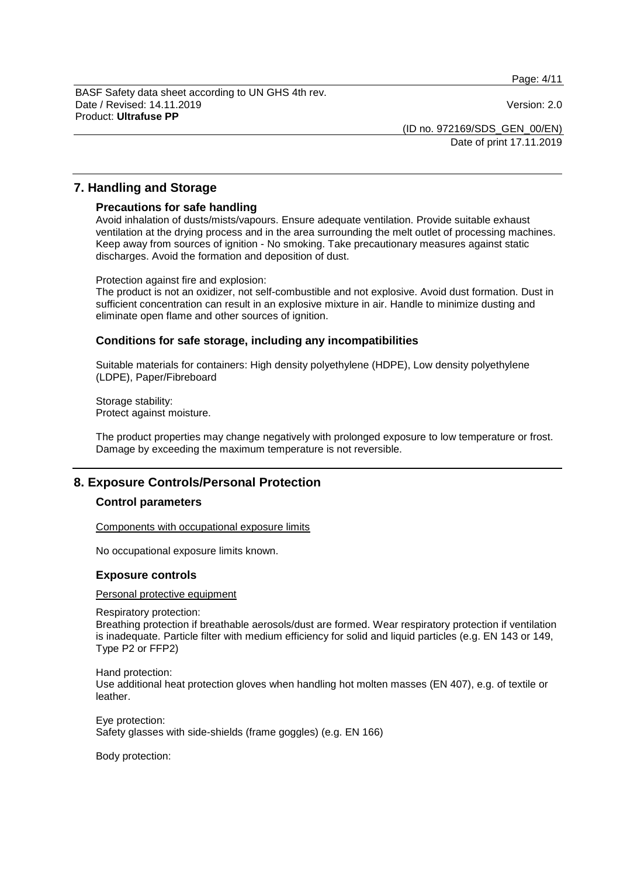Page: 4/11

BASF Safety data sheet according to UN GHS 4th rev. Date / Revised: 14.11.2019 Version: 2.0 Product: **Ultrafuse PP**

(ID no. 972169/SDS\_GEN\_00/EN)

Date of print 17.11.2019

# **7. Handling and Storage**

## **Precautions for safe handling**

Avoid inhalation of dusts/mists/vapours. Ensure adequate ventilation. Provide suitable exhaust ventilation at the drying process and in the area surrounding the melt outlet of processing machines. Keep away from sources of ignition - No smoking. Take precautionary measures against static discharges. Avoid the formation and deposition of dust.

Protection against fire and explosion:

The product is not an oxidizer, not self-combustible and not explosive. Avoid dust formation. Dust in sufficient concentration can result in an explosive mixture in air. Handle to minimize dusting and eliminate open flame and other sources of ignition.

# **Conditions for safe storage, including any incompatibilities**

Suitable materials for containers: High density polyethylene (HDPE), Low density polyethylene (LDPE), Paper/Fibreboard

Storage stability: Protect against moisture.

The product properties may change negatively with prolonged exposure to low temperature or frost. Damage by exceeding the maximum temperature is not reversible.

# **8. Exposure Controls/Personal Protection**

# **Control parameters**

Components with occupational exposure limits

No occupational exposure limits known.

# **Exposure controls**

#### Personal protective equipment

Respiratory protection:

Breathing protection if breathable aerosols/dust are formed. Wear respiratory protection if ventilation is inadequate. Particle filter with medium efficiency for solid and liquid particles (e.g. EN 143 or 149, Type P2 or FFP2)

Hand protection: Use additional heat protection gloves when handling hot molten masses (EN 407), e.g. of textile or leather.

Eye protection: Safety glasses with side-shields (frame goggles) (e.g. EN 166)

Body protection: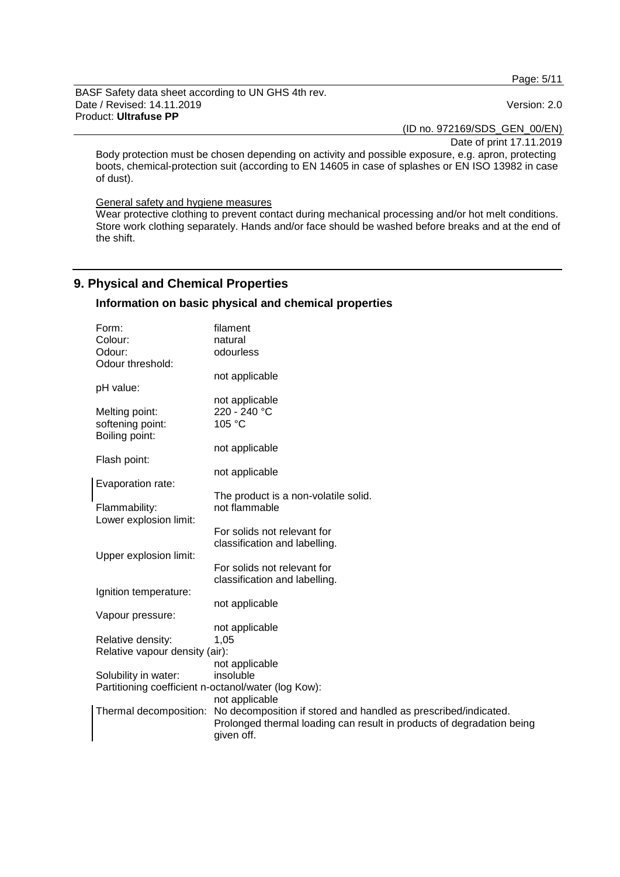Page: 5/11

BASF Safety data sheet according to UN GHS 4th rev. Date / Revised: 14.11.2019 **Version: 2.0** Product: **Ultrafuse PP**

(ID no. 972169/SDS\_GEN\_00/EN)

Date of print 17.11.2019

Body protection must be chosen depending on activity and possible exposure, e.g. apron, protecting boots, chemical-protection suit (according to EN 14605 in case of splashes or EN ISO 13982 in case of dust).

#### General safety and hygiene measures

Wear protective clothing to prevent contact during mechanical processing and/or hot melt conditions. Store work clothing separately. Hands and/or face should be washed before breaks and at the end of the shift.

# **9. Physical and Chemical Properties**

# **Information on basic physical and chemical properties**

| Form:                                               | filament                                                                               |
|-----------------------------------------------------|----------------------------------------------------------------------------------------|
| Colour:                                             | natural                                                                                |
| Odour:                                              | odourless                                                                              |
| Odour threshold:                                    |                                                                                        |
|                                                     | not applicable                                                                         |
| pH value:                                           |                                                                                        |
|                                                     | not applicable                                                                         |
| Melting point:                                      | 220 - 240 °C                                                                           |
| softening point:                                    | 105 °C                                                                                 |
| Boiling point:                                      |                                                                                        |
|                                                     | not applicable                                                                         |
| Flash point:                                        |                                                                                        |
|                                                     | not applicable                                                                         |
| Evaporation rate:                                   |                                                                                        |
|                                                     | The product is a non-volatile solid.                                                   |
| Flammability:                                       | not flammable                                                                          |
| Lower explosion limit:                              |                                                                                        |
|                                                     | For solids not relevant for                                                            |
|                                                     | classification and labelling.                                                          |
| Upper explosion limit:                              |                                                                                        |
|                                                     | For solids not relevant for                                                            |
|                                                     | classification and labelling.                                                          |
| Ignition temperature:                               |                                                                                        |
|                                                     | not applicable                                                                         |
| Vapour pressure:                                    |                                                                                        |
|                                                     | not applicable                                                                         |
| Relative density:                                   | 1,05                                                                                   |
| Relative vapour density (air):                      |                                                                                        |
|                                                     | not applicable                                                                         |
| Solubility in water:                                | insoluble                                                                              |
| Partitioning coefficient n-octanol/water (log Kow): |                                                                                        |
|                                                     | not applicable                                                                         |
|                                                     | Thermal decomposition: No decomposition if stored and handled as prescribed/indicated. |
|                                                     | Prolonged thermal loading can result in products of degradation being                  |
|                                                     | given off.                                                                             |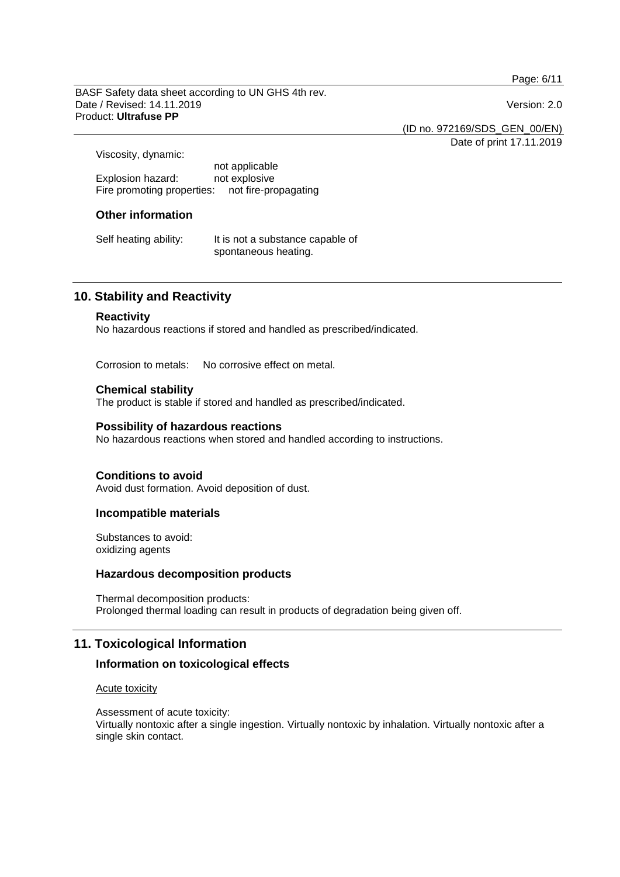Page: 6/11

BASF Safety data sheet according to UN GHS 4th rev. Date / Revised: 14.11.2019 Version: 2.0 Product: **Ultrafuse PP**

(ID no. 972169/SDS\_GEN\_00/EN)

Date of print 17.11.2019

Viscosity, dynamic:

not applicable Explosion hazard: Fire promoting properties: not fire-propagating

# **Other information**

Self heating ability: It is not a substance capable of spontaneous heating.

# **10. Stability and Reactivity**

#### **Reactivity**

No hazardous reactions if stored and handled as prescribed/indicated.

Corrosion to metals: No corrosive effect on metal.

# **Chemical stability**

The product is stable if stored and handled as prescribed/indicated.

# **Possibility of hazardous reactions**

No hazardous reactions when stored and handled according to instructions.

# **Conditions to avoid**

Avoid dust formation. Avoid deposition of dust.

## **Incompatible materials**

Substances to avoid: oxidizing agents

# **Hazardous decomposition products**

Thermal decomposition products: Prolonged thermal loading can result in products of degradation being given off.

# **11. Toxicological Information**

# **Information on toxicological effects**

#### Acute toxicity

Assessment of acute toxicity: Virtually nontoxic after a single ingestion. Virtually nontoxic by inhalation. Virtually nontoxic after a single skin contact.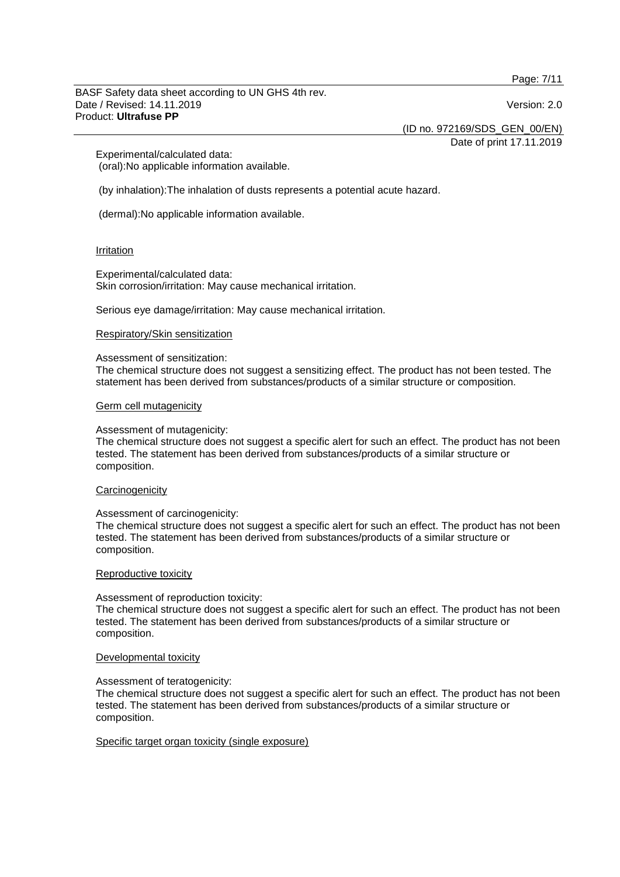Page: 7/11

#### BASF Safety data sheet according to UN GHS 4th rev. Date / Revised: 14.11.2019 Version: 2.0 Product: **Ultrafuse PP**

(ID no. 972169/SDS\_GEN\_00/EN)

Date of print 17.11.2019

Experimental/calculated data: (oral):No applicable information available.

(by inhalation):The inhalation of dusts represents a potential acute hazard.

(dermal):No applicable information available.

## Irritation

Experimental/calculated data: Skin corrosion/irritation: May cause mechanical irritation.

Serious eye damage/irritation: May cause mechanical irritation.

## Respiratory/Skin sensitization

#### Assessment of sensitization:

The chemical structure does not suggest a sensitizing effect. The product has not been tested. The statement has been derived from substances/products of a similar structure or composition.

## Germ cell mutagenicity

#### Assessment of mutagenicity:

The chemical structure does not suggest a specific alert for such an effect. The product has not been tested. The statement has been derived from substances/products of a similar structure or composition.

#### **Carcinogenicity**

#### Assessment of carcinogenicity:

The chemical structure does not suggest a specific alert for such an effect. The product has not been tested. The statement has been derived from substances/products of a similar structure or composition.

#### Reproductive toxicity

#### Assessment of reproduction toxicity:

The chemical structure does not suggest a specific alert for such an effect. The product has not been tested. The statement has been derived from substances/products of a similar structure or composition.

#### Developmental toxicity

# Assessment of teratogenicity:

The chemical structure does not suggest a specific alert for such an effect. The product has not been tested. The statement has been derived from substances/products of a similar structure or composition.

#### Specific target organ toxicity (single exposure)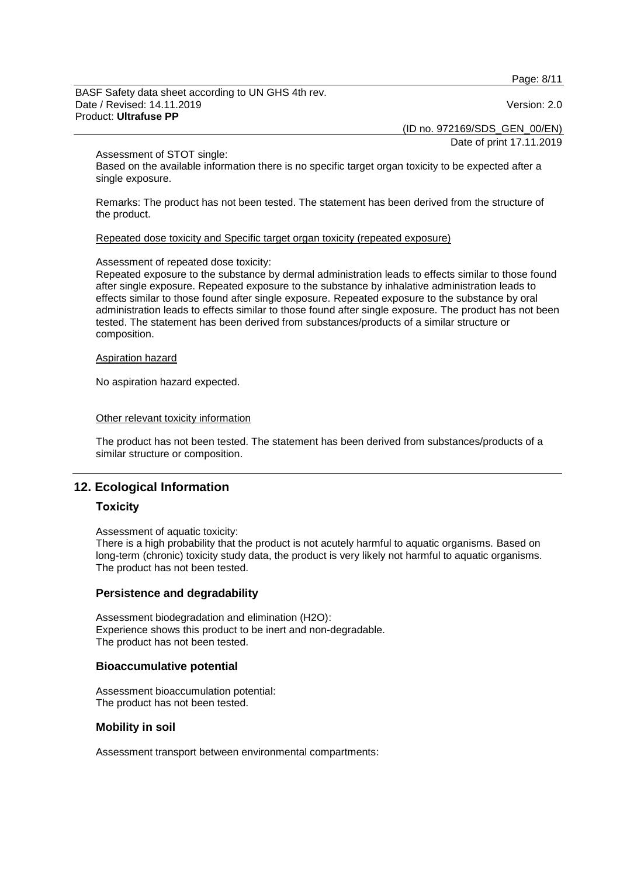Page: 8/11

BASF Safety data sheet according to UN GHS 4th rev. Date / Revised: 14.11.2019 Version: 2.0 Product: **Ultrafuse PP**

(ID no. 972169/SDS\_GEN\_00/EN)

Date of print 17.11.2019

#### Assessment of STOT single:

Based on the available information there is no specific target organ toxicity to be expected after a single exposure.

Remarks: The product has not been tested. The statement has been derived from the structure of the product.

## Repeated dose toxicity and Specific target organ toxicity (repeated exposure)

## Assessment of repeated dose toxicity:

Repeated exposure to the substance by dermal administration leads to effects similar to those found after single exposure. Repeated exposure to the substance by inhalative administration leads to effects similar to those found after single exposure. Repeated exposure to the substance by oral administration leads to effects similar to those found after single exposure. The product has not been tested. The statement has been derived from substances/products of a similar structure or composition.

#### Aspiration hazard

No aspiration hazard expected.

## Other relevant toxicity information

The product has not been tested. The statement has been derived from substances/products of a similar structure or composition.

# **12. Ecological Information**

# **Toxicity**

Assessment of aquatic toxicity:

There is a high probability that the product is not acutely harmful to aquatic organisms. Based on long-term (chronic) toxicity study data, the product is very likely not harmful to aquatic organisms. The product has not been tested.

# **Persistence and degradability**

Assessment biodegradation and elimination (H2O): Experience shows this product to be inert and non-degradable. The product has not been tested.

# **Bioaccumulative potential**

Assessment bioaccumulation potential: The product has not been tested.

# **Mobility in soil**

Assessment transport between environmental compartments: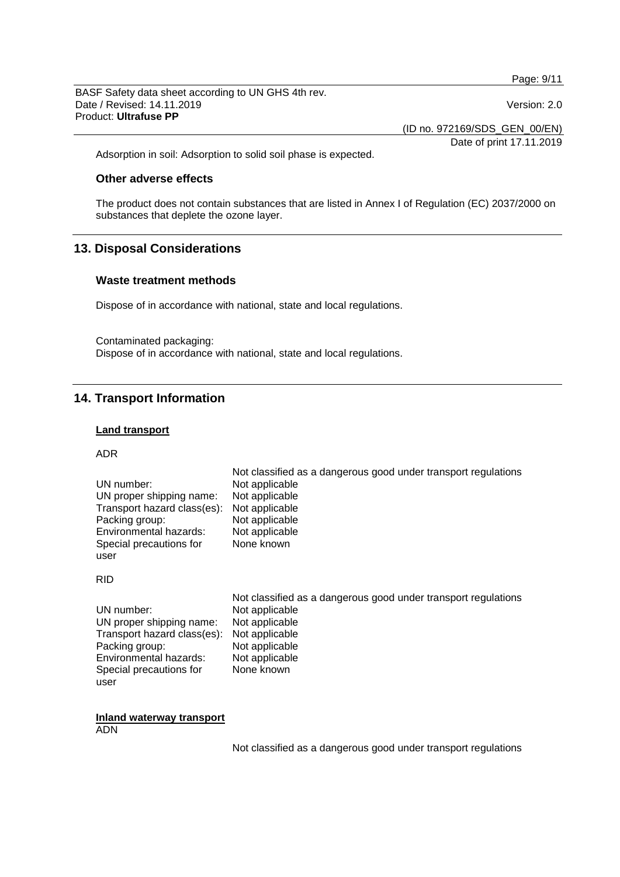Page: 9/11

BASF Safety data sheet according to UN GHS 4th rev. Date / Revised: 14.11.2019 Version: 2.0 Product: **Ultrafuse PP**

(ID no. 972169/SDS\_GEN\_00/EN)

Date of print 17.11.2019

Adsorption in soil: Adsorption to solid soil phase is expected.

# **Other adverse effects**

The product does not contain substances that are listed in Annex I of Regulation (EC) 2037/2000 on substances that deplete the ozone layer.

# **13. Disposal Considerations**

# **Waste treatment methods**

Dispose of in accordance with national, state and local regulations.

Contaminated packaging: Dispose of in accordance with national, state and local regulations.

# **14. Transport Information**

#### **Land transport**

ADR

|                             | Not classified as a dangerous good under transport regulations |
|-----------------------------|----------------------------------------------------------------|
| UN number:                  | Not applicable                                                 |
| UN proper shipping name:    | Not applicable                                                 |
| Transport hazard class(es): | Not applicable                                                 |
| Packing group:              | Not applicable                                                 |
| Environmental hazards:      | Not applicable                                                 |
| Special precautions for     | None known                                                     |
| user                        |                                                                |
|                             |                                                                |

RID

|                                            | Not classified as a dangerous good under transport regulations |
|--------------------------------------------|----------------------------------------------------------------|
| UN number:                                 | Not applicable                                                 |
| UN proper shipping name:                   | Not applicable                                                 |
| Transport hazard class(es): Not applicable |                                                                |
| Packing group:                             | Not applicable                                                 |
| Environmental hazards:                     | Not applicable                                                 |
| Special precautions for                    | None known                                                     |
| user                                       |                                                                |

**Inland waterway transport** ADN

Not classified as a dangerous good under transport regulations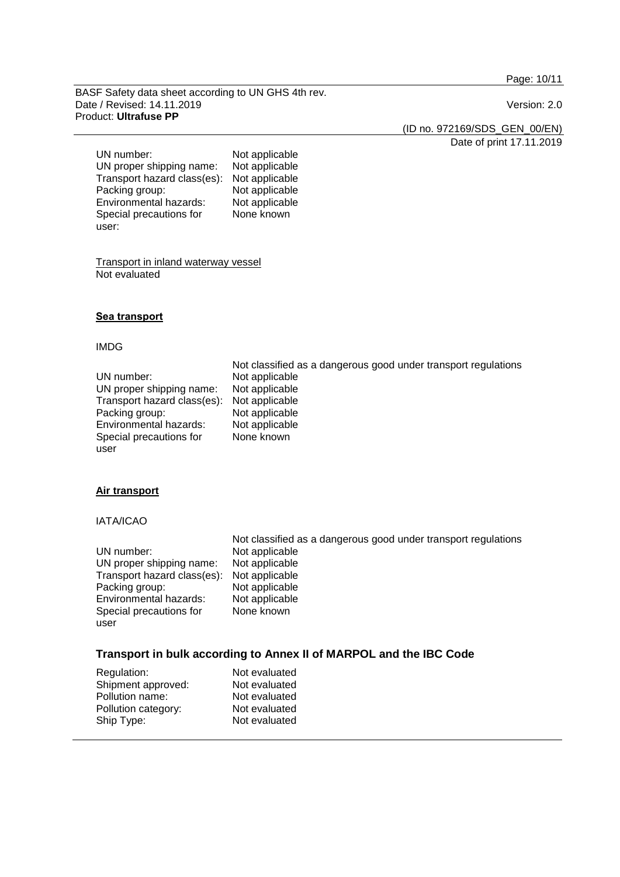Page: 10/11

BASF Safety data sheet according to UN GHS 4th rev. Date / Revised: 14.11.2019 **Version: 2.0** Product: **Ultrafuse PP**

(ID no. 972169/SDS\_GEN\_00/EN)

Date of print 17.11.2019

UN number: Not applicable<br>UN proper shipping name: Not applicable UN proper shipping name: Not applicable<br>Transport hazard class(es): Not applicable Transport hazard class(es):<br>Packing group: Not applicable<br>Not applicable Environmental hazards: Special precautions for user: None known

Transport in inland waterway vessel Not evaluated

# **Sea transport**

#### IMDG

|                                            | Not classified as a dangerous good under transport regulations |
|--------------------------------------------|----------------------------------------------------------------|
| UN number:                                 | Not applicable                                                 |
| UN proper shipping name:                   | Not applicable                                                 |
| Transport hazard class(es): Not applicable |                                                                |
| Packing group:                             | Not applicable                                                 |
| Environmental hazards:                     | Not applicable                                                 |
| Special precautions for                    | None known                                                     |
| user                                       |                                                                |

#### **Air transport**

# IATA/ICAO

|                             | Not classified as a dangerous good under transport regulations |
|-----------------------------|----------------------------------------------------------------|
| UN number:                  | Not applicable                                                 |
| UN proper shipping name:    | Not applicable                                                 |
| Transport hazard class(es): | Not applicable                                                 |
| Packing group:              | Not applicable                                                 |
| Environmental hazards:      | Not applicable                                                 |
| Special precautions for     | None known                                                     |
| user                        |                                                                |

# **Transport in bulk according to Annex II of MARPOL and the IBC Code**

| Not evaluated |
|---------------|
| Not evaluated |
| Not evaluated |
| Not evaluated |
| Not evaluated |
|               |